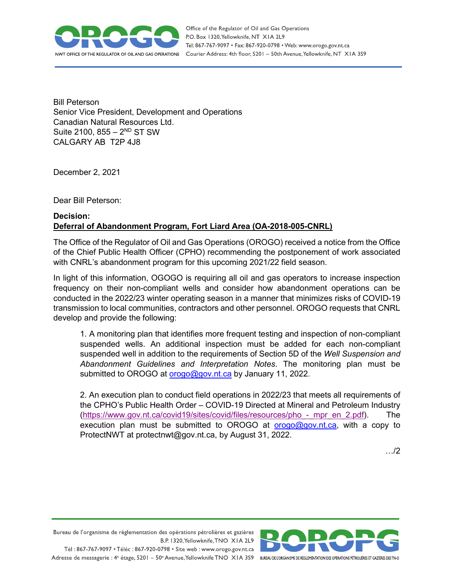

Bill Peterson Senior Vice President, Development and Operations Canadian Natural Resources Ltd. Suite 2100,  $855 - 2^{ND}$  ST SW CALGARY AB T2P 4J8

December 2, 2021

Dear Bill Peterson:

## **Decision: Deferral of Abandonment Program, Fort Liard Area (OA-2018-005-CNRL)**

The Office of the Regulator of Oil and Gas Operations (OROGO) received a notice from the Office of the Chief Public Health Officer (CPHO) recommending the postponement of work associated with CNRL's abandonment program for this upcoming 2021/22 field season.

In light of this information, OGOGO is requiring all oil and gas operators to increase inspection frequency on their non-compliant wells and consider how abandonment operations can be conducted in the 2022/23 winter operating season in a manner that minimizes risks of COVID-19 transmission to local communities, contractors and other personnel. OROGO requests that CNRL develop and provide the following:

1. A monitoring plan that identifies more frequent testing and inspection of non-compliant suspended wells. An additional inspection must be added for each non-compliant suspended well in addition to the requirements of Section 5D of the *Well Suspension and Abandonment Guidelines and Interpretation Notes*. The monitoring plan must be submitted to OROGO at [orogo@gov.nt.ca](mailto:orogo@gov.nt.ca) by January 11, 2022.

2. An execution plan to conduct field operations in 2022/23 that meets all requirements of the CPHO's Public Health Order – COVID-19 Directed at Mineral and Petroleum Industry [\(https://www.gov.nt.ca/covid19/sites/covid/files/resources/pho\\_-\\_mpr\\_en\\_2.pdf\)](https://www.gov.nt.ca/covid19/sites/covid/files/resources/pho_-_mpr_en_2.pdf). The execution plan must be submitted to OROGO at  $\sigma$ rogo@gov.nt.ca, with a copy to ProtectNWT at protectnwt@gov.nt.ca, by August 31, 2022.

…/2

Bureau de l'organisme de réglementation des opérations pétrolières et gazières B.P. 1320, Yellowknife, TNO XIA 2L9 Tél: 867-767-9097 • Téléc: 867-920-0798 • Site web: www.orogo.gov.nt.ca

Adresse de messagerie : 4<sup>e</sup> étage, 5201 - 50<sup>e</sup> Avenue, Yellowknife TNO XIA 3S9 BUREAU DE L'ORGANISME DE RÉGLEMENTATION DES OPERATIONS PÉTROUÈRES ET GAZIÈRES DESTNO